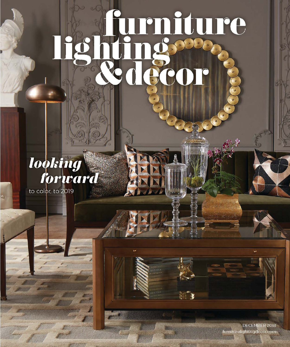# durniture

## **looking**

to color, to 2019

DECEMBER 2018 furniturelightingdecor.com

W)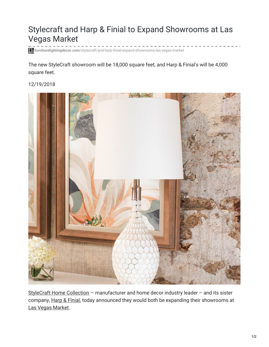### Stylecraft and Harp & Finial to Expand Showrooms at Las Vegas Market

------------**furniturelightingdecor.com**[/stylecraft-and-harp-finial-expand-showrooms-las-vegas-market](https://www.furniturelightingdecor.com/stylecraft-and-harp-finial-expand-showrooms-las-vegas-market)

The new StyleCraft showroom will be 18,000 square feet, and Harp & Finial's will be 4,000 square feet.

#### 12/19/2018



StyleCraft Home [Collection](http://www.stylecraftonline.com/) – manufacturer and home decor industry leader – and its sister company, Harp & [Finial](http://www.harpandfinial.com/), today announced they would both be expanding their showrooms at Las Vegas [Market](https://www.furniturelightingdecor.com/las-vegas-market-1).